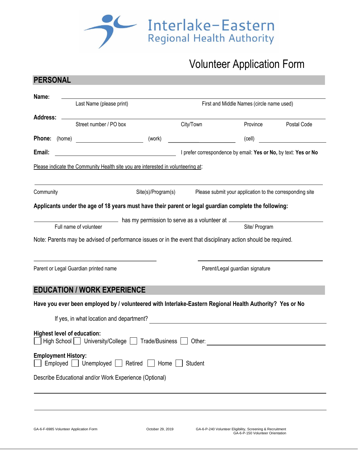

# Volunteer Application Form

| Name:                                  |                          |                                                                                                                 |                    |                                                                 |                                                                                               |             |  |  |
|----------------------------------------|--------------------------|-----------------------------------------------------------------------------------------------------------------|--------------------|-----------------------------------------------------------------|-----------------------------------------------------------------------------------------------|-------------|--|--|
|                                        | Last Name (please print) |                                                                                                                 |                    | First and Middle Names (circle name used)                       |                                                                                               |             |  |  |
| <b>Address:</b>                        |                          | Street number / PO box                                                                                          |                    | City/Town                                                       | Province                                                                                      | Postal Code |  |  |
| <b>Phone:</b> (home)                   |                          |                                                                                                                 | (work)             |                                                                 | (cell)                                                                                        |             |  |  |
| Email:                                 |                          |                                                                                                                 |                    | I prefer correspondence by email: Yes or No, by text: Yes or No |                                                                                               |             |  |  |
|                                        |                          | Please indicate the Community Health site you are interested in volunteering at:                                |                    |                                                                 |                                                                                               |             |  |  |
| Community                              |                          |                                                                                                                 | Site(s)/Program(s) |                                                                 | Please submit your application to the corresponding site                                      |             |  |  |
|                                        |                          | Applicants under the age of 18 years must have their parent or legal guardian complete the following:           |                    |                                                                 |                                                                                               |             |  |  |
|                                        |                          |                                                                                                                 |                    |                                                                 |                                                                                               |             |  |  |
|                                        |                          | Full name of volunteer                                                                                          |                    |                                                                 | Site/ Program                                                                                 |             |  |  |
|                                        |                          | Note: Parents may be advised of performance issues or in the event that disciplinary action should be required. |                    |                                                                 |                                                                                               |             |  |  |
|                                        |                          | Parent or Legal Guardian printed name                                                                           |                    |                                                                 | Parent/Legal guardian signature                                                               |             |  |  |
|                                        |                          | <b>EDUCATION / WORK EXPERIENCE</b>                                                                              |                    |                                                                 |                                                                                               |             |  |  |
|                                        |                          | Have you ever been employed by / volunteered with Interlake-Eastern Regional Health Authority? Yes or No        |                    |                                                                 |                                                                                               |             |  |  |
|                                        |                          | If yes, in what location and department?                                                                        |                    |                                                                 | the control of the control of the control of the control of the control of the control of     |             |  |  |
| <b>Highest level of education:</b>     |                          | High School   University/College   Trade/Business                                                               |                    | Other:                                                          |                                                                                               |             |  |  |
| <b>Employment History:</b><br>Employed |                          | Unemployed<br>Retired                                                                                           | Home               | Student                                                         |                                                                                               |             |  |  |
|                                        |                          | Describe Educational and/or Work Experience (Optional)                                                          |                    |                                                                 |                                                                                               |             |  |  |
|                                        |                          |                                                                                                                 |                    |                                                                 |                                                                                               |             |  |  |
|                                        |                          |                                                                                                                 |                    |                                                                 |                                                                                               |             |  |  |
| GA-6-F-6985 Volunteer Application Form |                          |                                                                                                                 | October 29, 2019   |                                                                 | GA-6-P-240 Volunteer Eligibility, Screening & Recruitment<br>GA-6-P-150 Volunteer Orientation |             |  |  |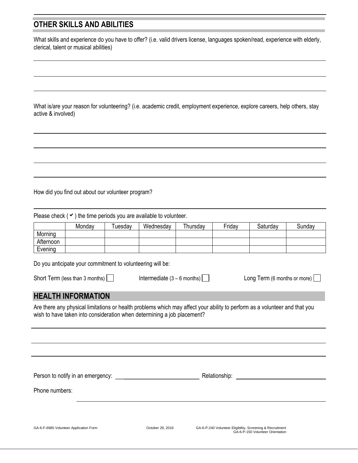# **OTHER SKILLS AND ABILITIES**

What skills and experience do you have to offer? (i.e. valid drivers license, languages spoken/read, experience with elderly, clerical, talent or musical abilities)

What is/are your reason for volunteering? (i.e. academic credit, employment experience, explore careers, help others, stay active & involved)

How did you find out about our volunteer program?

Please check  $(\vee)$  the time periods you are available to volunteer.

|           | Monday | uesdav | Wednesday | Thursdav | Friday | Saturday | Sundav |
|-----------|--------|--------|-----------|----------|--------|----------|--------|
| Morning   |        |        |           |          |        |          |        |
| Afternoon |        |        |           |          |        |          |        |
| Evening   |        |        |           |          |        |          |        |

Do you anticipate your commitment to volunteering will be:

Short Term (less than 3 months)  $\Box$  Intermediate (3 – 6 months)  $\Box$  Long Term (6 months or more)  $\Box$ 

# **HEALTH INFORMATION**

Are there any physical limitations or health problems which may affect your ability to perform as a volunteer and that you wish to have taken into consideration when determining a job placement?

Person to notify in an emergency: example and the relationship: Relationship:

Phone numbers: